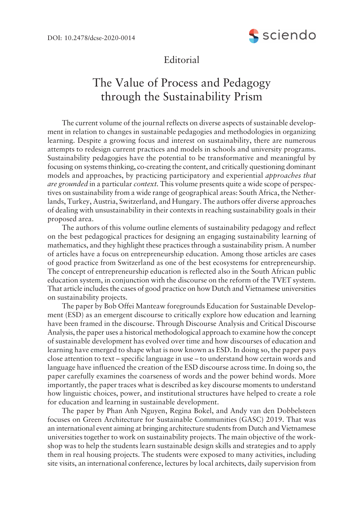

## Editorial

## The Value of Process and Pedagogy through the Sustainability Prism

The current volume of the journal reflects on diverse aspects of sustainable development in relation to changes in sustainable pedagogies and methodologies in organizing learning. Despite a growing focus and interest on sustainability, there are numerous attempts to redesign current practices and models in schools and university programs. Sustainability pedagogies have the potential to be transformative and meaningful by focusing on systems thinking, co-creating the content, and critically questioning dominant models and approaches, by practicing participatory and experiential *approaches that are grounded* in a particular *context.* This volume presents quite a wide scope of perspectives on sustainability from a wide range of geographical areas: South Africa, the Netherlands, Turkey, Austria, Switzerland, and Hungary. The authors offer diverse approaches of dealing with unsustainability in their contexts in reaching sustainability goals in their proposed area.

The authors of this volume outline elements of sustainability pedagogy and reflect on the best pedagogical practices for designing an engaging sustainability learning of mathematics, and they highlight these practices through a sustainability prism. A number of articles have a focus on entrepreneurship education. Among those articles are cases of good practice from Switzerland as one of the best ecosystems for entrepreneurship. The concept of entrepreneurship education is reflected also in the South African public education system, in conjunction with the discourse on the reform of the TVET system. That article includes the cases of good practice on how Dutch and Vietnamese universities on sustainability projects.

The paper by Bob Offei Manteaw foregrounds Education for Sustainable Development (ESD) as an emergent discourse to critically explore how education and learning have been framed in the discourse. Through Discourse Analysis and Critical Discourse Analysis, the paper uses a historical methodological approach to examine how the concept of sustainable development has evolved over time and how discourses of education and learning have emerged to shape what is now known as ESD. In doing so, the paper pays close attention to text – specific language in use – to understand how certain words and language have influenced the creation of the ESD discourse across time. In doing so, the paper carefully examines the coarseness of words and the power behind words. More importantly, the paper traces what is described as key discourse moments to understand how linguistic choices, power, and institutional structures have helped to create a role for education and learning in sustainable development.

The paper by Phan Anh Nguyen, Regina Bokel, and Andy van den Dobbelsteen focuses on Green Architecture for Sustainable Communities (GASC) 2019. That was an international event aiming at bringing architecture students from Dutch and Vietnamese universities together to work on sustainability projects. The main objective of the workshop was to help the students learn sustainable design skills and strategies and to apply them in real housing projects. The students were exposed to many activities, including site visits, an international conference, lectures by local architects, daily supervision from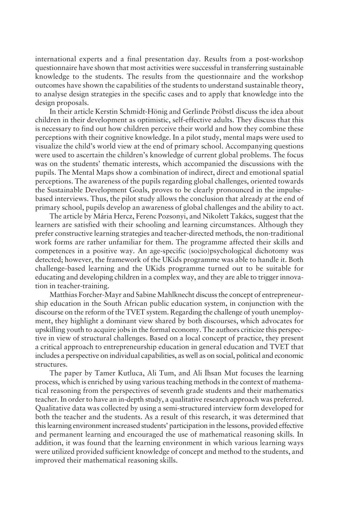international experts and a final presentation day. Results from a post-workshop questionnaire have shown that most activities were successful in transferring sustainable knowledge to the students. The results from the questionnaire and the workshop outcomes have shown the capabilities of the students to understand sustainable theory, to analyse design strategies in the specific cases and to apply that knowledge into the design proposals.

In their article Kerstin Schmidt-Hönig and Gerlinde Pröbstl discuss the idea about children in their development as optimistic, self-effective adults. They discuss that this is necessary to find out how children perceive their world and how they combine these perceptions with their cognitive knowledge. In a pilot study, mental maps were used to visualize the childís world view at the end of primary school. Accompanying questions were used to ascertain the children's knowledge of current global problems. The focus was on the students' thematic interests, which accompanied the discussions with the pupils. The Mental Maps show a combination of indirect, direct and emotional spatial perceptions. The awareness of the pupils regarding global challenges, oriented towards the Sustainable Development Goals, proves to be clearly pronounced in the impulsebased interviews. Thus, the pilot study allows the conclusion that already at the end of primary school, pupils develop an awareness of global challenges and the ability to act.

The article by Mária Hercz, Ferenc Pozsonyi, and Nikolett Takács, suggest that the learners are satisfied with their schooling and learning circumstances. Although they prefer constructive learning strategies and teacher-directed methods, the non-traditional work forms are rather unfamiliar for them. The programme affected their skills and competences in a positive way. An age-specific (socio)psychological dichotomy was detected; however, the framework of the UKids programme was able to handle it. Both challenge-based learning and the UKids programme turned out to be suitable for educating and developing children in a complex way, and they are able to trigger innovation in teacher-training.

Matthias Forcher-Mayr and Sabine Mahlknecht discuss the concept of entrepreneurship education in the South African public education system, in conjunction with the discourse on the reform of the TVET system. Regarding the challenge of youth unemployment, they highlight a dominant view shared by both discourses, which advocates for upskilling youth to acquire jobs in the formal economy. The authors criticize this perspective in view of structural challenges. Based on a local concept of practice, they present a critical approach to entrepreneurship education in general education and TVET that includes a perspective on individual capabilities, as well as on social, political and economic structures.

The paper by Tamer Kutluca, Ali Tum, and Ali I . hsan Mut focuses the learning process, which is enriched by using various teaching methods in the context of mathematical reasoning from the perspectives of seventh grade students and their mathematics teacher. In order to have an in-depth study, a qualitative research approach was preferred. Qualitative data was collected by using a semi-structured interview form developed for both the teacher and the students. As a result of this research, it was determined that this learning environment increased students' participation in the lessons, provided effective and permanent learning and encouraged the use of mathematical reasoning skills. In addition, it was found that the learning environment in which various learning ways were utilized provided sufficient knowledge of concept and method to the students, and improved their mathematical reasoning skills.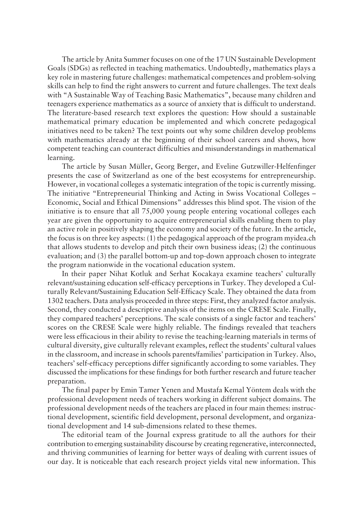The article by Anita Summer focuses on one of the 17 UN Sustainable Development Goals (SDGs) as reflected in teaching mathematics. Undoubtedly, mathematics plays a key role in mastering future challenges: mathematical competences and problem-solving skills can help to find the right answers to current and future challenges. The text deals with "A Sustainable Way of Teaching Basic Mathematics", because many children and teenagers experience mathematics as a source of anxiety that is difficult to understand. The literature-based research text explores the question: How should a sustainable mathematical primary education be implemented and which concrete pedagogical initiatives need to be taken? The text points out why some children develop problems with mathematics already at the beginning of their school careers and shows, how competent teaching can counteract difficulties and misunderstandings in mathematical learning.

The article by Susan Müller, Georg Berger, and Eveline Gutzwiller-Helfenfinger presents the case of Switzerland as one of the best ecosystems for entrepreneurship. However, in vocational colleges a systematic integration of the topic is currently missing. The initiative "Entrepreneurial Thinking and Acting in Swiss Vocational Colleges – Economic, Social and Ethical Dimensions" addresses this blind spot. The vision of the initiative is to ensure that all 75,000 young people entering vocational colleges each year are given the opportunity to acquire entrepreneurial skills enabling them to play an active role in positively shaping the economy and society of the future. In the article, the focus is on three key aspects: (1) the pedagogical approach of the program myidea.ch that allows students to develop and pitch their own business ideas; (2) the continuous evaluation; and (3) the parallel bottom-up and top-down approach chosen to integrate the program nationwide in the vocational education system.

In their paper Nihat Kotluk and Serhat Kocakaya examine teachers' culturally relevant/sustaining education self-efficacy perceptions in Turkey. They developed a Culturally Relevant/Sustaining Education Self-Efficacy Scale. They obtained the data from 1302 teachers. Data analysis proceeded in three steps: First, they analyzed factor analysis. Second, they conducted a descriptive analysis of the items on the CRESE Scale. Finally, they compared teachers' perceptions. The scale consists of a single factor and teachers' scores on the CRESE Scale were highly reliable. The findings revealed that teachers were less efficacious in their ability to revise the teaching-learning materials in terms of cultural diversity, give culturally relevant examples, reflect the students' cultural values in the classroom, and increase in schools parents/families' participation in Turkey. Also, teachersí self-efficacy perceptions differ significantly according to some variables. They discussed the implications for these findings for both further research and future teacher preparation.

The final paper by Emin Tamer Yenen and Mustafa Kemal Yöntem deals with the professional development needs of teachers working in different subject domains. The professional development needs of the teachers are placed in four main themes: instructional development, scientific field development, personal development, and organizational development and 14 sub-dimensions related to these themes.

The editorial team of the Journal express gratitude to all the authors for their contribution to emerging sustainability discourse by creating regenerative, interconnected, and thriving communities of learning for better ways of dealing with current issues of our day. It is noticeable that each research project yields vital new information. This